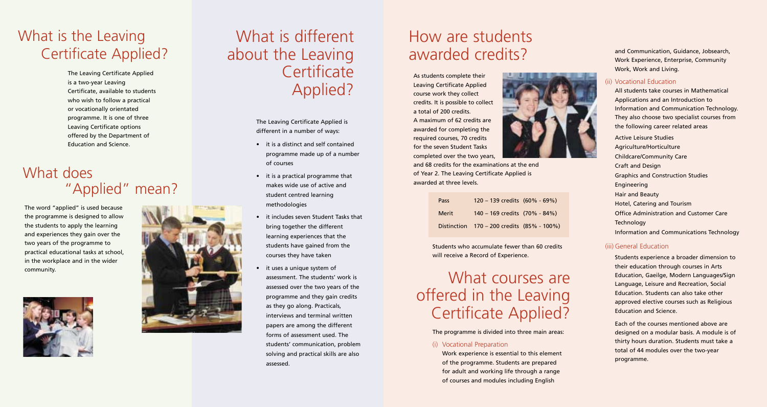## What is the Leaving Certificate Applied?

The Leaving Certificate Applied is a two-year Leaving Certificate, available to students who wish to follow a practical or vocationally orientated programme. It is one of three Leaving Certificate options offered by the Department of Education and Science.

### What does "Applied" mean?

The word "applied" is used because the programme is designed to allow the students to apply the learning and experiences they gain over the two years of the programme to practical educational tasks at school, in the workplace and in the wider community.





# What is different about the Leaving **Certificate** Applied?

The Leaving Certificate Applied is different in a number of ways:

- it is a distinct and self contained programme made up of a number of courses
- it is a practical programme that makes wide use of active and student centred learning methodologies
- it includes seven Student Tasks that bring together the different learning experiences that the students have gained from the courses they have taken
- it uses a unique system of assessment. The students' work is assessed over the two years of the programme and they gain credits as they go along. Practicals, interviews and terminal written papers are among the different forms of assessment used. The students' communication, problem solving and practical skills are also assessed.

# How are students awarded credits?

As students complete their Leaving Certificate Applied course work they collect credits. It is possible to collect a total of 200 credits. A maximum of 62 credits are awarded for completing the required courses, 70 credits for the seven Student Tasks completed over the two years,

and 68 credits for the examinations at the end of Year 2. The Leaving Certificate Applied is awarded at three levels.

| Pass  | $120 - 139$ credits $(60\% - 69\%)$        |  |
|-------|--------------------------------------------|--|
| Merit | 140 - 169 credits (70% - 84%)              |  |
|       | Distinction 170 – 200 credits (85% - 100%) |  |

Students who accumulate fewer than 60 credits will receive a Record of Experience.

## What courses are offered in the Leaving Certificate Applied?

The programme is divided into three main areas:

#### (i) Vocational Preparation

Work experience is essential to this element of the programme. Students are prepared for adult and working life through a range of courses and modules including English

and Communication, Guidance, Jobsearch, Work Experience, Enterprise, Community Work, Work and Living.

#### (ii) Vocational Education

All students take courses in Mathematical Applications and an Introduction to Information and Communication Technology. They also choose two specialist courses from the following career related areas Active Leisure Studies Agriculture/Horticulture Childcare/Community Care Craft and Design Graphics and Construction Studies Engineering Hair and Beauty Hotel, Catering and Tourism Office Administration and Customer Care **Technology** Information and Communications Technology

#### (iii) General Education

Students experience a broader dimension to their education through courses in Arts Education, Gaeilge, Modern Languages/Sign Language, Leisure and Recreation, Social Education. Students can also take other approved elective courses such as Religious Education and Science.

Each of the courses mentioned above are designed on a modular basis. A module is of thirty hours duration. Students must take a total of 44 modules over the two-year programme.